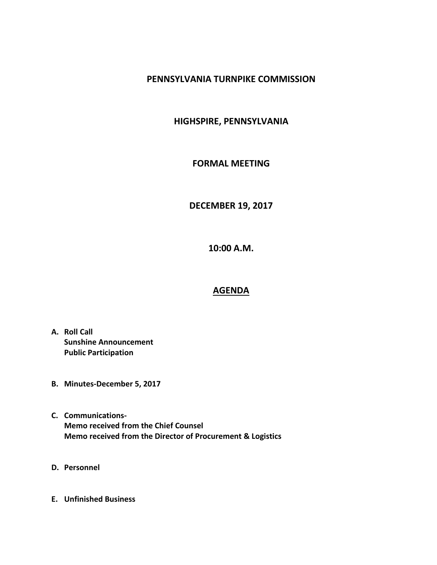# **PENNSYLVANIA TURNPIKE COMMISSION**

# **HIGHSPIRE, PENNSYLVANIA**

### **FORMAL MEETING**

# **DECEMBER 19, 2017**

**10:00 A.M.**

#### **AGENDA**

- **A. Roll Call Sunshine Announcement Public Participation**
- **B. Minutes-December 5, 2017**
- **C. Communications-Memo received from the Chief Counsel Memo received from the Director of Procurement & Logistics**
- **D. Personnel**
- **E. Unfinished Business**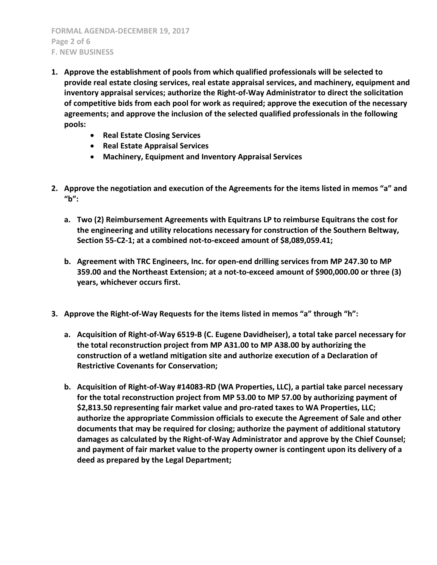**FORMAL AGENDA-DECEMBER 19, 2017 Page 2 of 6 F. NEW BUSINESS**

- **1. Approve the establishment of pools from which qualified professionals will be selected to provide real estate closing services, real estate appraisal services, and machinery, equipment and inventory appraisal services; authorize the Right-of-Way Administrator to direct the solicitation of competitive bids from each pool for work as required; approve the execution of the necessary agreements; and approve the inclusion of the selected qualified professionals in the following pools:**
	- **Real Estate Closing Services**
	- **Real Estate Appraisal Services**
	- **Machinery, Equipment and Inventory Appraisal Services**
- **2. Approve the negotiation and execution of the Agreements for the items listed in memos "a" and "b":**
	- **a. Two (2) Reimbursement Agreements with Equitrans LP to reimburse Equitrans the cost for the engineering and utility relocations necessary for construction of the Southern Beltway, Section 55-C2-1; at a combined not-to-exceed amount of \$8,089,059.41;**
	- **b. Agreement with TRC Engineers, Inc. for open-end drilling services from MP 247.30 to MP 359.00 and the Northeast Extension; at a not-to-exceed amount of \$900,000.00 or three (3) years, whichever occurs first.**
- **3. Approve the Right-of-Way Requests for the items listed in memos "a" through "h":**
	- **a. Acquisition of Right-of-Way 6519-B (C. Eugene Davidheiser), a total take parcel necessary for the total reconstruction project from MP A31.00 to MP A38.00 by authorizing the construction of a wetland mitigation site and authorize execution of a Declaration of Restrictive Covenants for Conservation;**
	- **b. Acquisition of Right-of-Way #14083-RD (WA Properties, LLC), a partial take parcel necessary for the total reconstruction project from MP 53.00 to MP 57.00 by authorizing payment of \$2,813.50 representing fair market value and pro-rated taxes to WA Properties, LLC; authorize the appropriate Commission officials to execute the Agreement of Sale and other documents that may be required for closing; authorize the payment of additional statutory damages as calculated by the Right-of-Way Administrator and approve by the Chief Counsel; and payment of fair market value to the property owner is contingent upon its delivery of a deed as prepared by the Legal Department;**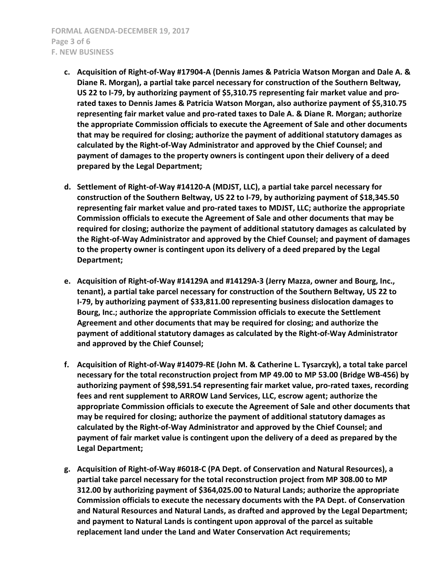- **c. Acquisition of Right-of-Way #17904-A (Dennis James & Patricia Watson Morgan and Dale A. & Diane R. Morgan), a partial take parcel necessary for construction of the Southern Beltway, US 22 to I-79, by authorizing payment of \$5,310.75 representing fair market value and prorated taxes to Dennis James & Patricia Watson Morgan, also authorize payment of \$5,310.75 representing fair market value and pro-rated taxes to Dale A. & Diane R. Morgan; authorize the appropriate Commission officials to execute the Agreement of Sale and other documents that may be required for closing; authorize the payment of additional statutory damages as calculated by the Right-of-Way Administrator and approved by the Chief Counsel; and payment of damages to the property owners is contingent upon their delivery of a deed prepared by the Legal Department;**
- **d. Settlement of Right-of-Way #14120-A (MDJST, LLC), a partial take parcel necessary for construction of the Southern Beltway, US 22 to I-79, by authorizing payment of \$18,345.50 representing fair market value and pro-rated taxes to MDJST, LLC; authorize the appropriate Commission officials to execute the Agreement of Sale and other documents that may be required for closing; authorize the payment of additional statutory damages as calculated by the Right-of-Way Administrator and approved by the Chief Counsel; and payment of damages to the property owner is contingent upon its delivery of a deed prepared by the Legal Department;**
- **e. Acquisition of Right-of-Way #14129A and #14129A-3 (Jerry Mazza, owner and Bourg, Inc., tenant), a partial take parcel necessary for construction of the Southern Beltway, US 22 to I-79, by authorizing payment of \$33,811.00 representing business dislocation damages to Bourg, Inc.; authorize the appropriate Commission officials to execute the Settlement Agreement and other documents that may be required for closing; and authorize the payment of additional statutory damages as calculated by the Right-of-Way Administrator and approved by the Chief Counsel;**
- **f. Acquisition of Right-of-Way #14079-RE (John M. & Catherine L. Tysarczyk), a total take parcel necessary for the total reconstruction project from MP 49.00 to MP 53.00 (Bridge WB-456) by authorizing payment of \$98,591.54 representing fair market value, pro-rated taxes, recording fees and rent supplement to ARROW Land Services, LLC, escrow agent; authorize the appropriate Commission officials to execute the Agreement of Sale and other documents that may be required for closing; authorize the payment of additional statutory damages as calculated by the Right-of-Way Administrator and approved by the Chief Counsel; and payment of fair market value is contingent upon the delivery of a deed as prepared by the Legal Department;**
- **g. Acquisition of Right-of-Way #6018-C (PA Dept. of Conservation and Natural Resources), a partial take parcel necessary for the total reconstruction project from MP 308.00 to MP 312.00 by authorizing payment of \$364,025.00 to Natural Lands; authorize the appropriate Commission officials to execute the necessary documents with the PA Dept. of Conservation and Natural Resources and Natural Lands, as drafted and approved by the Legal Department; and payment to Natural Lands is contingent upon approval of the parcel as suitable replacement land under the Land and Water Conservation Act requirements;**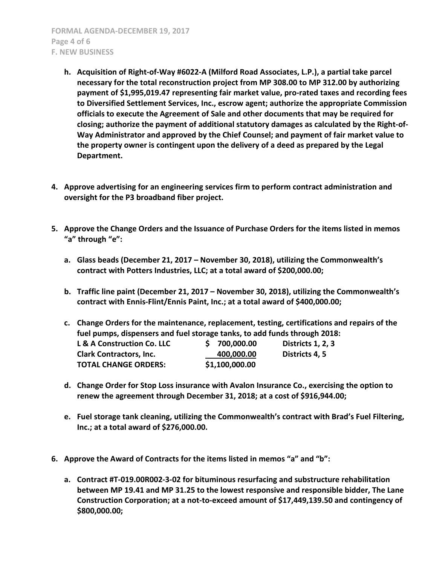**FORMAL AGENDA-DECEMBER 19, 2017 Page 4 of 6 F. NEW BUSINESS**

- **h. Acquisition of Right-of-Way #6022-A (Milford Road Associates, L.P.), a partial take parcel necessary for the total reconstruction project from MP 308.00 to MP 312.00 by authorizing payment of \$1,995,019.47 representing fair market value, pro-rated taxes and recording fees to Diversified Settlement Services, Inc., escrow agent; authorize the appropriate Commission officials to execute the Agreement of Sale and other documents that may be required for closing; authorize the payment of additional statutory damages as calculated by the Right-of-Way Administrator and approved by the Chief Counsel; and payment of fair market value to the property owner is contingent upon the delivery of a deed as prepared by the Legal Department.**
- **4. Approve advertising for an engineering services firm to perform contract administration and oversight for the P3 broadband fiber project.**
- **5. Approve the Change Orders and the Issuance of Purchase Orders for the items listed in memos "a" through "e":**
	- **a. Glass beads (December 21, 2017 – November 30, 2018), utilizing the Commonwealth's contract with Potters Industries, LLC; at a total award of \$200,000.00;**
	- **b. Traffic line paint (December 21, 2017 – November 30, 2018), utilizing the Commonwealth's contract with Ennis-Flint/Ennis Paint, Inc.; at a total award of \$400,000.00;**
	- **c. Change Orders for the maintenance, replacement, testing, certifications and repairs of the fuel pumps, dispensers and fuel storage tanks, to add funds through 2018: L & A Construction Co. LLC \$ 700,000.00 Districts 1, 2, 3 Clark Contractors, Inc. 400,000.00 Districts 4, 5**
	- **d. Change Order for Stop Loss insurance with Avalon Insurance Co., exercising the option to renew the agreement through December 31, 2018; at a cost of \$916,944.00;**
	- **e. Fuel storage tank cleaning, utilizing the Commonwealth's contract with Brad's Fuel Filtering, Inc.; at a total award of \$276,000.00.**
- **6. Approve the Award of Contracts for the items listed in memos "a" and "b":**

**TOTAL CHANGE ORDERS: \$1,100,000.00**

**a. Contract #T-019.00R002-3-02 for bituminous resurfacing and substructure rehabilitation between MP 19.41 and MP 31.25 to the lowest responsive and responsible bidder, The Lane Construction Corporation; at a not-to-exceed amount of \$17,449,139.50 and contingency of \$800,000.00;**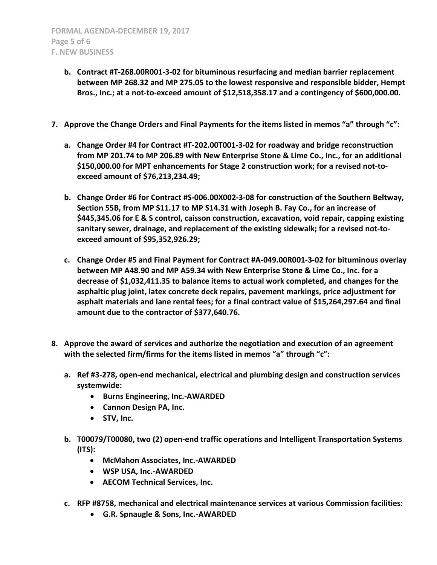- **b. Contract #T-268.00R001-3-02 for bituminous resurfacing and median barrier replacement between MP 268.32 and MP 275.05 to the lowest responsive and responsible bidder, Hempt Bros., Inc.; at a not-to-exceed amount of \$12,518,358.17 and a contingency of \$600,000.00.**
- **7. Approve the Change Orders and Final Payments for the items listed in memos "a" through "c":**
	- **a. Change Order #4 for Contract #T-202.00T001-3-02 for roadway and bridge reconstruction from MP 201.74 to MP 206.89 with New Enterprise Stone & Lime Co., Inc., for an additional \$150,000.00 for MPT enhancements for Stage 2 construction work; for a revised not-toexceed amount of \$76,213,234.49;**
	- **b. Change Order #6 for Contract #S-006.00X002-3-08 for construction of the Southern Beltway, Section 55B, from MP S11.17 to MP S14.31 with Joseph B. Fay Co., for an increase of \$445,345.06 for E & S control, caisson construction, excavation, void repair, capping existing sanitary sewer, drainage, and replacement of the existing sidewalk; for a revised not-toexceed amount of \$95,352,926.29;**
	- **c. Change Order #5 and Final Payment for Contract #A-049.00R001-3-02 for bituminous overlay between MP A48.90 and MP A59.34 with New Enterprise Stone & Lime Co., Inc. for a decrease of \$1,032,411.35 to balance items to actual work completed, and changes for the asphaltic plug joint, latex concrete deck repairs, pavement markings, price adjustment for asphalt materials and lane rental fees; for a final contract value of \$15,264,297.64 and final amount due to the contractor of \$377,640.76.**
- **8. Approve the award of services and authorize the negotiation and execution of an agreement with the selected firm/firms for the items listed in memos "a" through "c":**
	- **a. Ref #3-278, open-end mechanical, electrical and plumbing design and construction services systemwide:**
		- **Burns Engineering, Inc.-AWARDED**
		- **Cannon Design PA, Inc.**
		- **STV, Inc.**
	- **b. T00079/T00080, two (2) open-end traffic operations and Intelligent Transportation Systems (ITS):**
		- **McMahon Associates, Inc.-AWARDED**
		- **WSP USA, Inc.-AWARDED**
		- **AECOM Technical Services, Inc.**
	- **c. RFP #8758, mechanical and electrical maintenance services at various Commission facilities:**
		- **G.R. Spnaugle & Sons, Inc.-AWARDED**